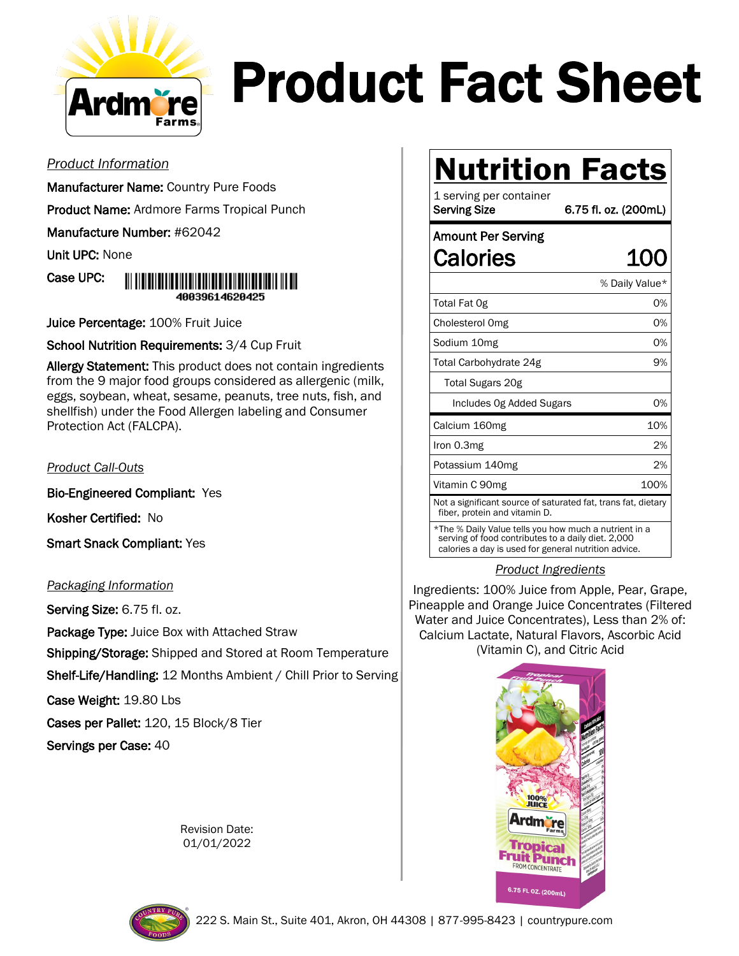

# Product Fact Sheet

### *Product Information*

Manufacturer Name: Country Pure Foods

Product Name: Ardmore Farms Tropical Punch

Manufacture Number: #62042

Unit UPC: None

Case UPC:



Juice Percentage: 100% Fruit Juice

School Nutrition Requirements: 3/4 Cup Fruit

Allergy Statement: This product does not contain ingredients from the 9 major food groups considered as allergenic (milk, eggs, soybean, wheat, sesame, peanuts, tree nuts, fish, and shellfish) under the Food Allergen labeling and Consumer Protection Act (FALCPA).

### *Product Call-Outs*

Bio-Engineered Compliant: Yes

Kosher Certified: No

Smart Snack Compliant: Yes

### *Packaging Information*

Serving Size: 6.75 fl. oz.

Package Type: Juice Box with Attached Straw

Shipping/Storage: Shipped and Stored at Room Temperature

Shelf-Life/Handling: 12 Months Ambient / Chill Prior to Serving

Case Weight: 19.80 Lbs

Cases per Pallet: 120, 15 Block/8 Tier

Servings per Case: 40

Revision Date: 01/01/2022

## **Nutrition Facts**

1 serving per container Serving Size 6.75 fl. oz. (200mL)

### Amount Per Serving Calories 100

|                                                                                                | % Daily Value* |
|------------------------------------------------------------------------------------------------|----------------|
| Total Fat Og                                                                                   | 0%             |
| Cholesterol Omg                                                                                | 0%             |
| Sodium 10mg                                                                                    | 0%             |
| Total Carbohydrate 24g                                                                         | 9%             |
| Total Sugars 20g                                                                               |                |
| Includes Og Added Sugars                                                                       | 0%             |
| Calcium 160mg                                                                                  | 10%            |
|                                                                                                |                |
| Iron 0.3mg                                                                                     | 2%             |
| Potassium 140mg                                                                                | 2%             |
| Vitamin C 90mg                                                                                 | 100%           |
| Not a significant source of saturated fat, trans fat, dietary<br>fiber, protein and vitamin D. |                |

### *Product Ingredients*

Ingredients: 100% Juice from Apple, Pear, Grape, Pineapple and Orange Juice Concentrates (Filtered Water and Juice Concentrates), Less than 2% of: Calcium Lactate, Natural Flavors, Ascorbic Acid (Vitamin C), and Citric Acid